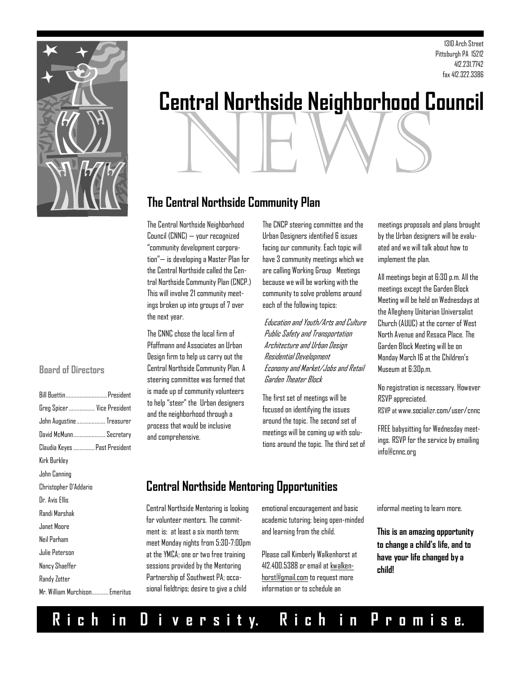

### 1310 Arch Street Pittsburgh PA 15212 412.231.7742 fax 412.322.3386

# news **Central Northside Neighborhood Council**

# **The Central Northside Community Plan**

The Central Northside Neighborhood Council (CNNC) — your recognized "community development corporation"— is developing a Master Plan for the Central Northside called the Central Northside Community Plan (CNCP.) This will involve 21 community meetings broken up into groups of 7 over the next year.

The CNNC chose the local firm of Pfaffmann and Associates an Urban Design firm to help us carry out the Central Northside Community Plan. A steering committee was formed that is made up of community volunteers to help "steer" the Urban designers and the neighborhood through a process that would be inclusive and comprehensive.

The CNCP steering committee and the Urban Designers identified 6 issues facing our community. Each topic will have 3 community meetings which we are calling Working Group Meetings because we will be working with the community to solve problems around each of the following topics:

Education and Youth/Arts and Culture Public Safety and Transportation Architecture and Urban Design Residential Development Economy and Market/Jobs and Retail Garden Theater Block

The first set of meetings will be focused on identifying the issues around the topic. The second set of meetings will be coming up with solutions around the topic. The third set of

meetings proposals and plans brought by the Urban designers will be evaluated and we will talk about how to implement the plan.

All meetings begin at 6:30 p.m. All the meetings except the Garden Block Meeting will be held on Wednesdays at the Allegheny Unitarian Universalist Church (AUUC) at the corner of West North Avenue and Resaca Place. The Garden Block Meeting will be on Monday March 16 at the Children's Museum at 6:30p.m.

No registration is necessary. However RSVP appreciated. RSVP at www.socializr.com/user/cnnc

FREE babysitting for Wednesday meetings. RSVP for the service by emailing info@cnnc.org

# **Central Northside Mentoring Opportunities**

Central Northside Mentoring is looking for volunteer mentors. The commitment is: at least a six month term; meet Monday nights from 5:30-7:00pm at the YMCA; one or two free training sessions provided by the Mentoring Partnership of Southwest PA; occasional fieldtrips; desire to give a child

emotional encouragement and basic academic tutoring; being open-minded and learning from the child.

Please call Kimberly Walkenhorst at 412.400.5388 or email at [kwalken](mailto:kwalkenhorst@gmail.com)[horst@gmail.com](mailto:kwalkenhorst@gmail.com) to request more information or to schedule an

informal meeting to learn more.

**This is an amazing opportunity to change a child's life, and to have your life changed by a child!** 

### **Board of Directors**

| <b>Bill Buettin</b> President  |
|--------------------------------|
| Greg Spicer  Vice President    |
| John Augustine Treasurer       |
| David McMunn Secretary         |
| Claudia Keyes  Past President  |
|                                |
|                                |
|                                |
|                                |
|                                |
|                                |
|                                |
|                                |
|                                |
|                                |
| Mr. William Murchison Emeritus |
|                                |

# **R i c h i n D i v e r s i t y. R i c h i n P r o m i s e.**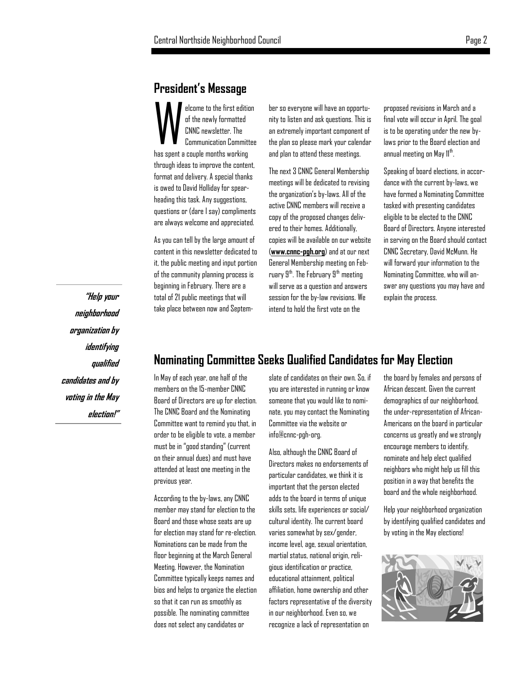## **President's Message**

W elcome to the first edition of the newly formatted CNNC newsletter. The Communication Committee has spent a couple months working through ideas to improve the content, format and delivery. A special thanks is owed to David Holliday for spearheading this task. Any suggestions, questions or (dare I say) compliments are always welcome and appreciated.

As you can tell by the large amount of content in this newsletter dedicated to it, the public meeting and input portion of the community planning process is beginning in February. There are a total of 21 public meetings that will take place between now and September so everyone will have an opportunity to listen and ask questions. This is an extremely important component of the plan so please mark your calendar and plan to attend these meetings.

The next 3 CNNC General Membership meetings will be dedicated to revising the organization's by-laws. All of the active CNNC members will receive a copy of the proposed changes delivered to their homes. Additionally, copies will be available on our website (**[www.cnnc-pgh.org](http://www.cnnc-pgh.org/)**) and at our next General Membership meeting on February  $9<sup>th</sup>$ . The February  $9<sup>th</sup>$  meeting will serve as a question and answers session for the by-law revisions. We intend to hold the first vote on the

proposed revisions in March and a final vote will occur in April. The goal is to be operating under the new bylaws prior to the Board election and annual meeting on May 11<sup>th</sup>. .

Speaking of board elections, in accordance with the current by-laws, we have formed a Nominating Committee tasked with presenting candidates eligible to be elected to the CNNC Board of Directors. Anyone interested in serving on the Board should contact CNNC Secretary, David McMunn. He will forward your information to the Nominating Committee, who will answer any questions you may have and explain the process.

**"Help your neighborhood organization by identifying qualified candidates and by voting in the May election!"**

# **Nominating Committee Seeks Qualified Candidates for May Election**

In May of each year, one half of the members on the 15-member CNNC Board of Directors are up for election. The CNNC Board and the Nominating Committee want to remind you that, in order to be eligible to vote, a member must be in "good standing" (current on their annual dues) and must have attended at least one meeting in the previous year.

According to the by-laws, any CNNC member may stand for election to the Board and those whose seats are up for election may stand for re-election. Nominations can be made from the floor beginning at the March General Meeting. However, the Nomination Committee typically keeps names and bios and helps to organize the election so that it can run as smoothly as possible. The nominating committee does not select any candidates or

slate of candidates on their own. So, if you are interested in running or know someone that you would like to nominate, you may contact the Nominating Committee via the website or info@cnnc-pgh-org.

Also, although the CNNC Board of Directors makes no endorsements of particular candidates, we think it is important that the person elected adds to the board in terms of unique skills sets, life experiences or social/ cultural identity. The current board varies somewhat by sex/gender, income level, age, sexual orientation, martial status, national origin, religious identification or practice, educational attainment, political affiliation, home ownership and other factors representative of the diversity in our neighborhood. Even so, we recognize a lack of representation on

the board by females and persons of African descent. Given the current demographics of our neighborhood, the under-representation of African-Americans on the board in particular concerns us greatly and we strongly encourage members to identify, nominate and help elect qualified neighbors who might help us fill this position in a way that benefits the board and the whole neighborhood.

Help your neighborhood organization by identifying qualified candidates and by voting in the May elections!

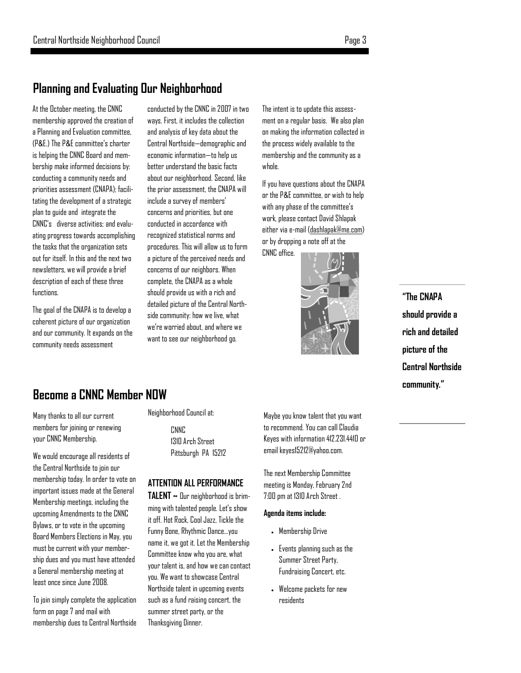# **Planning and Evaluating Our Neighborhood**

At the October meeting, the CNNC membership approved the creation of a Planning and Evaluation committee, (P&E.) The P&E committee's charter is helping the CNNC Board and membership make informed decisions by: conducting a community needs and priorities assessment (CNAPA); facilitating the development of a strategic plan to guide and integrate the CNNC's diverse activities; and evaluating progress towards accomplishing the tasks that the organization sets out for itself. In this and the next two newsletters, we will provide a brief description of each of these three functions.

The goal of the CNAPA is to develop a coherent picture of our organization and our community. It expands on the community needs assessment

conducted by the CNNC in 2007 in two ways. First, it includes the collection and analysis of key data about the Central Northside—demographic and economic information—to help us better understand the basic facts about our neighborhood. Second, like the prior assessment, the CNAPA will include a survey of members' concerns and priorities, but one conducted in accordance with recognized statistical norms and procedures. This will allow us to form a picture of the perceived needs and concerns of our neighbors. When complete, the CNAPA as a whole should provide us with a rich and detailed picture of the Central Northside community: how we live, what we're worried about, and where we want to see our neighborhood go.

The intent is to update this assessment on a regular basis. We also plan on making the information collected in the process widely available to the membership and the community as a whole.

If you have questions about the CNAPA or the P&E committee, or wish to help with any phase of the committee's work, please contact David Shlapak either via e-mail ([dashlapak@me.com\)](mailto:dashlapak@me.com)  or by dropping a note off at the CNNC office.



# **"The CNAPA should provide a rich and detailed picture of the Central Northside community."**

# **Become a CNNC Member NOW**

Many thanks to all our current members for joining or renewing your CNNC Membership.

We would encourage all residents of the Central Northside to join our membership today. In order to vote on important issues made at the General Membership meetings, including the upcoming Amendments to the CNNC Bylaws, or to vote in the upcoming Board Members Elections in May, you must be current with your membership dues and you must have attended a General membership meeting at least once since June 2008.

To join simply complete the application form on page 7 and mail with membership dues to Central Northside

### Neighborhood Council at:

CNN<sub>C</sub> 1310 Arch Street Pittsburgh PA 15212

### **ATTENTION ALL PERFORMANCE**

**TALENT ~** Our neighborhood is brimming with talented people. Let's show it off. Hot Rock, Cool Jazz, Tickle the Funny Bone, Rhythmic Dance…you name it, we got it. Let the Membership Committee know who you are, what your talent is, and how we can contact you. We want to showcase Central Northside talent in upcoming events such as a fund raising concert, the summer street party, or the Thanksgiving Dinner.

Maybe you know talent that you want to recommend. You can call Claudia Keyes with information 412.231.4410 or email [keyes15212@yahoo.com.](http://us.mc521.mail.yahoo.com/mc/compose?to=keyes15212@yahoo.com)

The next Membership Committee meeting is Monday, February 2nd 7:00 pm at 1310 Arch Street .

### **Agenda items include:**

- Membership Drive
- Events planning such as the Summer Street Party, Fundraising Concert, etc.
- Welcome packets for new residents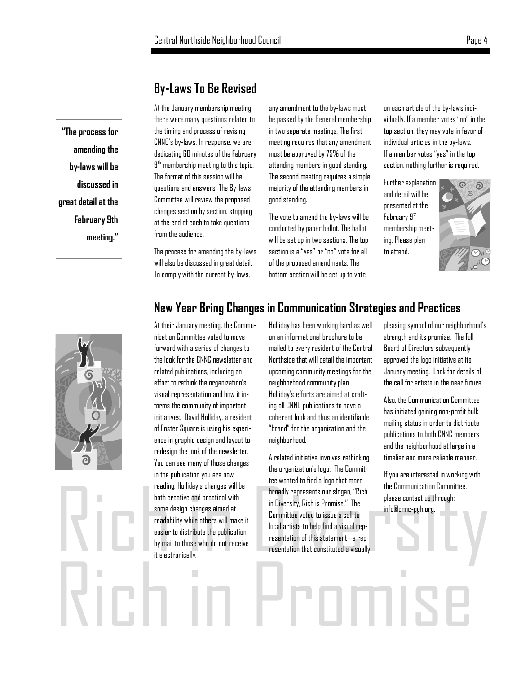# **By-Laws To Be Revised**

At the January membership meeting there were many questions related to the timing and process of revising CNNC's by-laws. In response, we are dedicating 60 minutes of the February  $9<sup>th</sup>$  membership meeting to this topic. The format of this session will be questions and answers. The By-laws Committee will review the proposed changes section by section, stopping at the end of each to take questions from the audience.

The process for amending the by-laws will also be discussed in great detail. To comply with the current by-laws,

any amendment to the by-laws must be passed by the General membership in two separate meetings. The first meeting requires that any amendment must be approved by 75% of the attending members in good standing. The second meeting requires a simple majority of the attending members in good standing.

The vote to amend the by-laws will be conducted by paper ballot. The ballot will be set up in two sections. The top section is a "yes" or "no" vote for all of the proposed amendments. The bottom section will be set up to vote

on each article of the by-laws individually. If a member votes "no" in the top section, they may vote in favor of individual articles in the by-laws. If a member votes "yes" in the top section, nothing further is required.

Further explanation and detail will be presented at the February 9<sup>th</sup>  $\overline{a}$ membership meeting. Please plan to attend.



# **New Year Bring Changes in Communication Strategies and Practices**

Rich in Promise reading. Holliday's changes will be<br>both creative and practical with<br>some design changes aimed at<br>readability while others will make it<br>easier to distribute the publication<br>by mail to those who do not receive<br>it electronic At their January meeting, the Communication Committee voted to move forward with a series of changes to the look for the CNNC newsletter and related publications, including an effort to rethink the organization's visual representation and how it informs the community of important initiatives. David Holliday, a resident of Foster Square is using his experience in graphic design and layout to redesign the look of the newsletter. You can see many of those changes in the publication you are now reading. Holliday's changes will be both creative and practical with some design changes aimed at readability while others will make it easier to distribute the publication by mail to those who do not receive it electronically.

Holliday has been working hard as well on an informational brochure to be mailed to every resident of the Central Northside that will detail the important upcoming community meetings for the neighborhood community plan. Holliday's efforts are aimed at crafting all CNNC publications to have a coherent look and thus an identifiable "brand" for the organization and the neighborhood.

A related initiative involves rethinking the organization's logo. The Committee wanted to find a logo that more broadly represents our slogan, "Rich in Diversity, Rich is Promise." The Committee voted to issue a call to local artists to help find a visual representation of this statement—a representation that constituted a visually pleasing symbol of our neighborhood's strength and its promise. The full Board of Directors subsequently approved the logo initiative at its January meeting. Look for details of the call for artists in the near future.

Also, the Communication Committee has initiated gaining non-profit bulk mailing status in order to distribute publications to both CNNC members and the neighborhood at large in a timelier and more reliable manner.

If you are interested in working with the Communication Committee, please contact us through: info@cnnc-pgh.org.



**"The process for** 

**amending the** 

**by-laws will be** 

**great detail at the** 

**discussed in** 

**February 9th** 

**meeting."**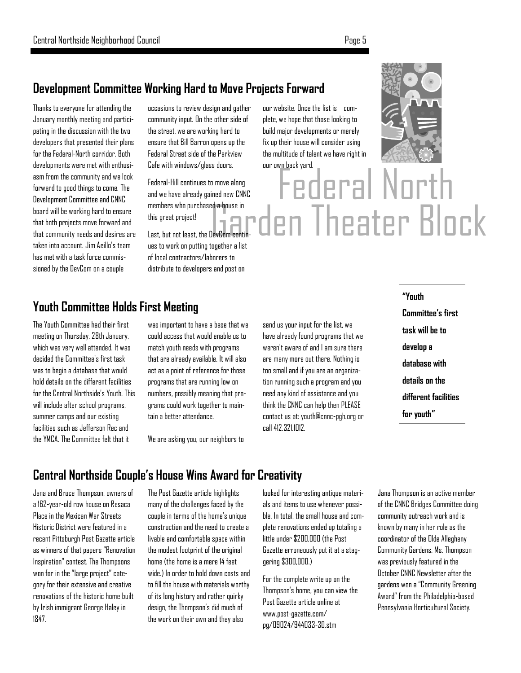# **Development Committee Working Hard to Move Projects Forward**

Thanks to everyone for attending the January monthly meeting and participating in the discussion with the two developers that presented their plans for the Federal-North corridor. Both developments were met with enthusiasm from the community and we look forward to good things to come. The Development Committee and CNNC board will be working hard to ensure that both projects move forward and that community needs and desires are taken into account. Jim Aeillo's team has met with a task force commissioned by the DevCom on a couple

occasions to review design and gather community input. On the other side of the street, we are working hard to ensure that Bill Barron opens up the Federal Street side of the Parkview Cafe with windows/glass doors.

Federal-Hill continues to move along and we have already gained new CNNC members who purchased a house in this great project!

Last, but not least, the DevCom continues to work on putting together a list of local contractors/laborers to distribute to developers and post on

# **Youth Committee Holds First Meeting**

The Youth Committee had their first meeting on Thursday, 28th January, which was very well attended. It was decided the Committee's first task was to begin a database that would hold details on the different facilities for the Central Northside's Youth. This will include after school programs, summer camps and our existing facilities such as Jefferson Rec and the YMCA. The Committee felt that it

was important to have a base that we could access that would enable us to match youth needs with programs that are already available. It will also act as a point of reference for those programs that are running low on numbers, possibly meaning that programs could work together to maintain a better attendance.

We are asking you, our neighbors to

send us your input for the list, we have already found programs that we weren't aware of and I am sure there are many more out there. Nothing is too small and if you are an organization running such a program and you need any kind of assistance and you think the CNNC can help then PLEASE contact us at: yout[h@cnnc-pgh.org o](mailto:info@cnnc-pgh.org)r call 412.321.1012.

our website. Once the list is complete, we hope that those looking to build major developments or merely fix up their house will consider using the multitude of talent we have right in

our own back yard.



Federal North **Garden Theater Block** 

> **"Youth Committee's first task will be to develop a database with details on the different facilities for youth"**

# **Central Northside Couple's House Wins Award for Creativity**

Jana and Bruce Thompson, owners of a 162-year-old row house on Resaca Place in the Mexican War Streets Historic District were featured in a recent Pittsburgh Post Gazette article as winners of that papers "Renovation Inspiration" contest. The Thompsons won for in the "large project" category for their extensive and creative renovations of the historic home built by Irish immigrant George Haley in 1847.

The Post Gazette article highlights many of the challenges faced by the couple in terms of the home's unique construction and the need to create a livable and comfortable space within the modest footprint of the original home (the home is a mere 14 feet wide.) In order to hold down costs and to fill the house with materials worthy of its long history and rather quirky design, the Thompson's did much of the work on their own and they also

looked for interesting antique materials and items to use whenever possible. In total, the small house and complete renovations ended up totaling a little under \$200,000 (the Post Gazette erroneously put it at a staggering \$300,000.)

For the complete write up on the Thompson's home, you can view the Post Gazette article online at www.post-gazette.com/ pg/09024/944033-30.stm

Jana Thompson is an active member of the CNNC Bridges Committee doing community outreach work and is known by many in her role as the coordinator of the Olde Allegheny Community Gardens. Ms. Thompson was previously featured in the October CNNC Newsletter after the gardens won a "Community Greening Award" from the Philadelphia-based Pennsylvania Horticultural Society.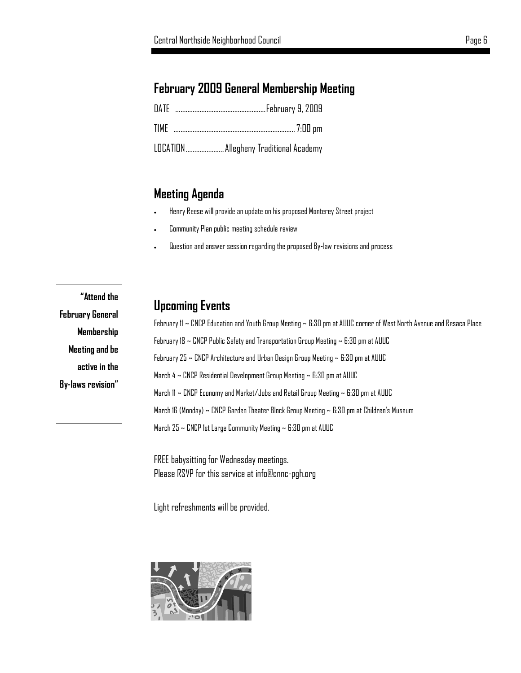# **February 2009 General Membership Meeting**

| LOCATION  Allegheny Traditional Academy |
|-----------------------------------------|

# **Meeting Agenda**

- Henry Reese will provide an update on his proposed Monterey Street project
- Community Plan public meeting schedule review
- Question and answer session regarding the proposed By-law revisions and process

**"Attend the February General Membership Meeting and be active in the By-laws revision"**

# **Upcoming Events**

February 11 ~ CNCP Education and Youth Group Meeting ~ 6:30 pm at AUUC corner of West North Avenue and Resaca Place February 18 ~ CNCP Public Safety and Transportation Group Meeting ~ 6:30 pm at AUUC February 25 ~ CNCP Architecture and Urban Design Group Meeting ~ 6:30 pm at AUUC March 4 ~ CNCP Residential Development Group Meeting ~ 6:30 pm at AUUC March 11 ~ CNCP Economy and Market/Jobs and Retail Group Meeting ~ 6:30 pm at AUUC March 16 (Monday) ~ CNCP Garden Theater Block Group Meeting ~ 6:30 pm at Children's Museum March 25 ~ CNCP 1st Large Community Meeting ~ 6:30 pm at AUUC

FREE babysitting for Wednesday meetings. Please RSVP for this service at info@cnnc-pgh.org

Light refreshments will be provided.

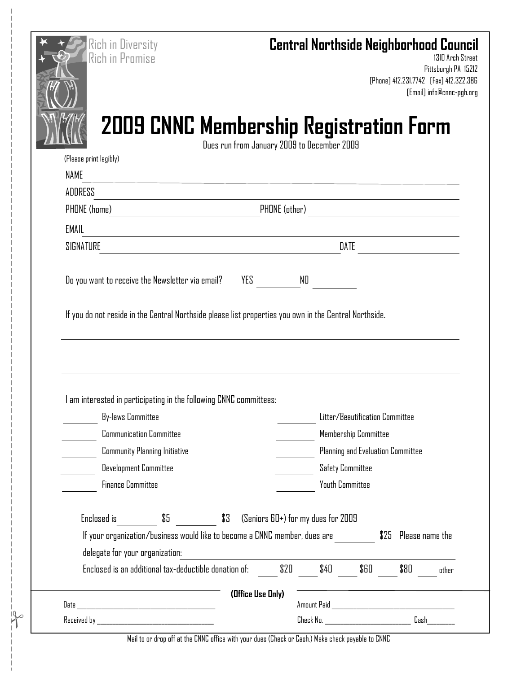| <b>Rich in Diversity</b><br><b>Rich in Promise</b>                         | <b>Central Northside Neighborhood Council</b>                                                          | 1310 Arch Street<br>Pittsburgh PA 15212<br>[Phone] 412.231.7742 [Fax] 412.322.386<br>[Email] info@cnnc-pgh.org |
|----------------------------------------------------------------------------|--------------------------------------------------------------------------------------------------------|----------------------------------------------------------------------------------------------------------------|
|                                                                            | <b>2009 CNNC Membership Registration Form</b>                                                          |                                                                                                                |
|                                                                            | Dues run from January 2009 to December 2009                                                            |                                                                                                                |
| (Please print legibly)<br><b>NAME</b>                                      |                                                                                                        |                                                                                                                |
| ADDRESS                                                                    |                                                                                                        |                                                                                                                |
| <b>PHONE</b> (home)                                                        | PHONE (other)                                                                                          |                                                                                                                |
| <b>EMAIL</b>                                                               |                                                                                                        |                                                                                                                |
| SIGNATURE                                                                  | DATE                                                                                                   |                                                                                                                |
|                                                                            |                                                                                                        |                                                                                                                |
| Do you want to receive the Newsletter via email?                           | YES<br>NO                                                                                              |                                                                                                                |
|                                                                            | If you do not reside in the Central Northside please list properties you own in the Central Northside. |                                                                                                                |
|                                                                            |                                                                                                        |                                                                                                                |
| I am interested in participating in the following CNNC committees:         |                                                                                                        |                                                                                                                |
| <b>By-laws Committee</b>                                                   | Litter/Beautification Committee                                                                        |                                                                                                                |
| <b>Communication Committee</b>                                             | Membership Committee                                                                                   |                                                                                                                |
| <b>Community Planning Initiative</b>                                       | Planning and Evaluation Committee                                                                      |                                                                                                                |
| Development Committee<br><b>Finance Committee</b>                          | <b>Safety Committee</b><br>Youth Committee                                                             |                                                                                                                |
|                                                                            |                                                                                                        |                                                                                                                |
| \$5<br>Enclosed is                                                         | \$3<br>(Seniors 60+) for my dues for 2009                                                              |                                                                                                                |
| If your organization/business would like to become a CNNC member, dues are |                                                                                                        | \$25 Please name the                                                                                           |
| delegate for your organization:                                            |                                                                                                        |                                                                                                                |
| Enclosed is an additional tax-deductible donation of:                      | \$20<br>\$40<br>\$60                                                                                   | \$80<br>other                                                                                                  |
|                                                                            | (Office Use Only)                                                                                      |                                                                                                                |

Mail to or drop off at the CNNC office with your dues (Check or Cash.) Make check payable to CNNC

 $\frac{1}{2}$